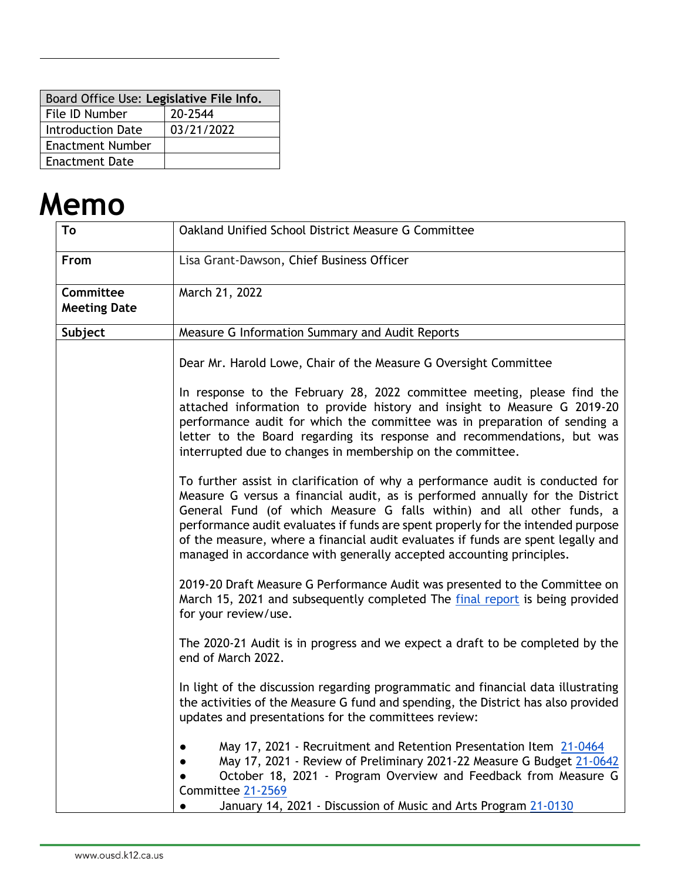| Board Office Use: Legislative File Info. |            |  |  |
|------------------------------------------|------------|--|--|
| File ID Number<br>20-2544                |            |  |  |
| Introduction Date                        | 03/21/2022 |  |  |
| <b>Enactment Number</b>                  |            |  |  |
| <b>Enactment Date</b>                    |            |  |  |

# **Memo**

| To                                      | Oakland Unified School District Measure G Committee                                                                                                                                                                                                                                                                                                                                                                                                                                      |  |  |
|-----------------------------------------|------------------------------------------------------------------------------------------------------------------------------------------------------------------------------------------------------------------------------------------------------------------------------------------------------------------------------------------------------------------------------------------------------------------------------------------------------------------------------------------|--|--|
| From                                    | Lisa Grant-Dawson, Chief Business Officer                                                                                                                                                                                                                                                                                                                                                                                                                                                |  |  |
| <b>Committee</b><br><b>Meeting Date</b> | March 21, 2022                                                                                                                                                                                                                                                                                                                                                                                                                                                                           |  |  |
| Subject                                 | Measure G Information Summary and Audit Reports                                                                                                                                                                                                                                                                                                                                                                                                                                          |  |  |
|                                         | Dear Mr. Harold Lowe, Chair of the Measure G Oversight Committee                                                                                                                                                                                                                                                                                                                                                                                                                         |  |  |
|                                         | In response to the February 28, 2022 committee meeting, please find the<br>attached information to provide history and insight to Measure G 2019-20<br>performance audit for which the committee was in preparation of sending a<br>letter to the Board regarding its response and recommendations, but was<br>interrupted due to changes in membership on the committee.                                                                                                                |  |  |
|                                         | To further assist in clarification of why a performance audit is conducted for<br>Measure G versus a financial audit, as is performed annually for the District<br>General Fund (of which Measure G falls within) and all other funds, a<br>performance audit evaluates if funds are spent properly for the intended purpose<br>of the measure, where a financial audit evaluates if funds are spent legally and<br>managed in accordance with generally accepted accounting principles. |  |  |
|                                         | 2019-20 Draft Measure G Performance Audit was presented to the Committee on<br>March 15, 2021 and subsequently completed The final report is being provided<br>for your review/use.                                                                                                                                                                                                                                                                                                      |  |  |
|                                         | The 2020-21 Audit is in progress and we expect a draft to be completed by the<br>end of March 2022.                                                                                                                                                                                                                                                                                                                                                                                      |  |  |
|                                         | In light of the discussion regarding programmatic and financial data illustrating<br>the activities of the Measure G fund and spending, the District has also provided<br>updates and presentations for the committees review:                                                                                                                                                                                                                                                           |  |  |
|                                         | May 17, 2021 - Recruitment and Retention Presentation Item 21-0464<br>May 17, 2021 - Review of Preliminary 2021-22 Measure G Budget 21-0642<br>October 18, 2021 - Program Overview and Feedback from Measure G<br>Committee 21-2569<br>January 14, 2021 - Discussion of Music and Arts Program 21-0130                                                                                                                                                                                   |  |  |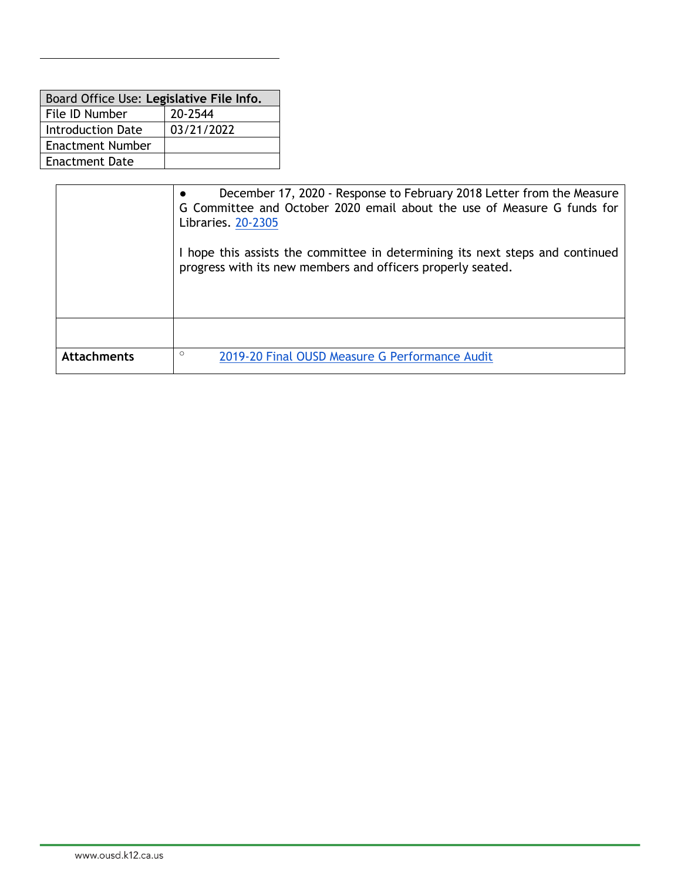| Board Office Use: Legislative File Info. |  |  |  |
|------------------------------------------|--|--|--|
|                                          |  |  |  |
| 03/21/2022                               |  |  |  |
|                                          |  |  |  |
| Enactment Date                           |  |  |  |
|                                          |  |  |  |

|                    | December 17, 2020 - Response to February 2018 Letter from the Measure<br>G Committee and October 2020 email about the use of Measure G funds for<br>Libraries. 20-2305 |  |  |  |
|--------------------|------------------------------------------------------------------------------------------------------------------------------------------------------------------------|--|--|--|
|                    | I hope this assists the committee in determining its next steps and continued<br>progress with its new members and officers properly seated.                           |  |  |  |
|                    |                                                                                                                                                                        |  |  |  |
| <b>Attachments</b> | $\circ$<br>2019-20 Final OUSD Measure G Performance Audit                                                                                                              |  |  |  |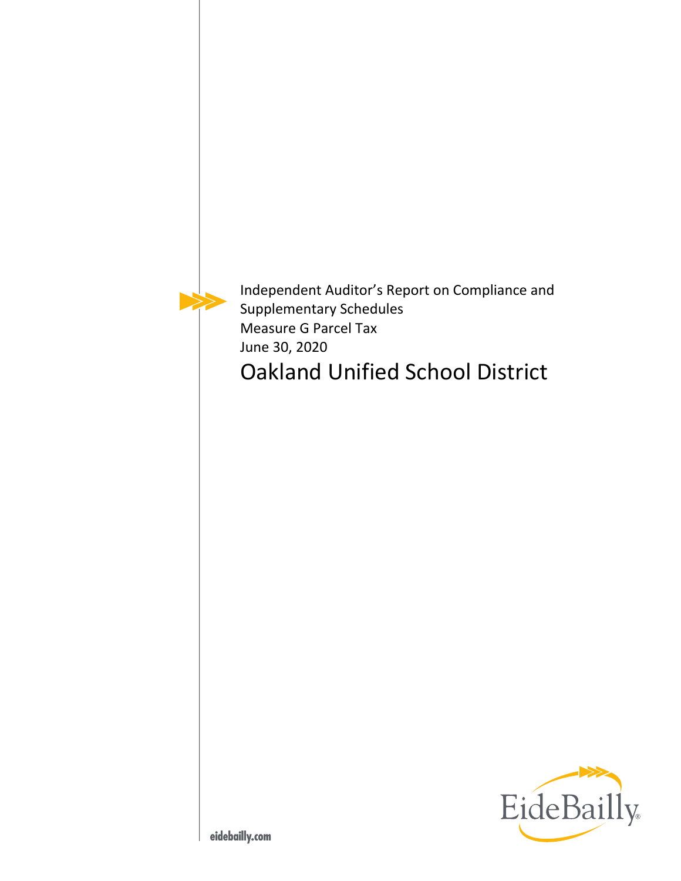Independent Auditor's Report on Compliance and Supplementary Schedules Measure G Parcel Tax June 30, 2020 Oakland Unified School District

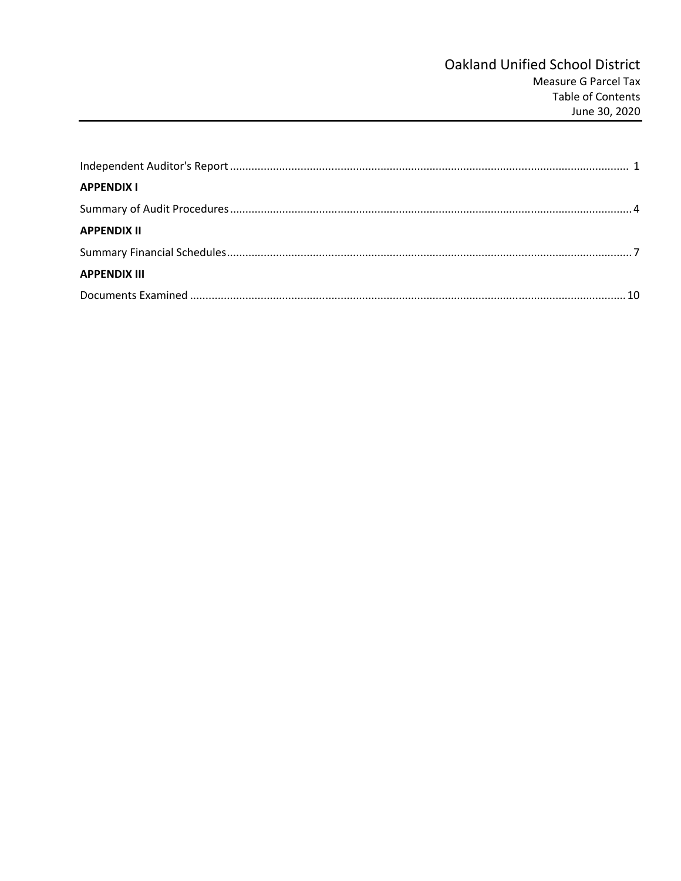| <b>APPENDIX I</b>   |  |
|---------------------|--|
|                     |  |
| <b>APPENDIX II</b>  |  |
|                     |  |
| <b>APPENDIX III</b> |  |
|                     |  |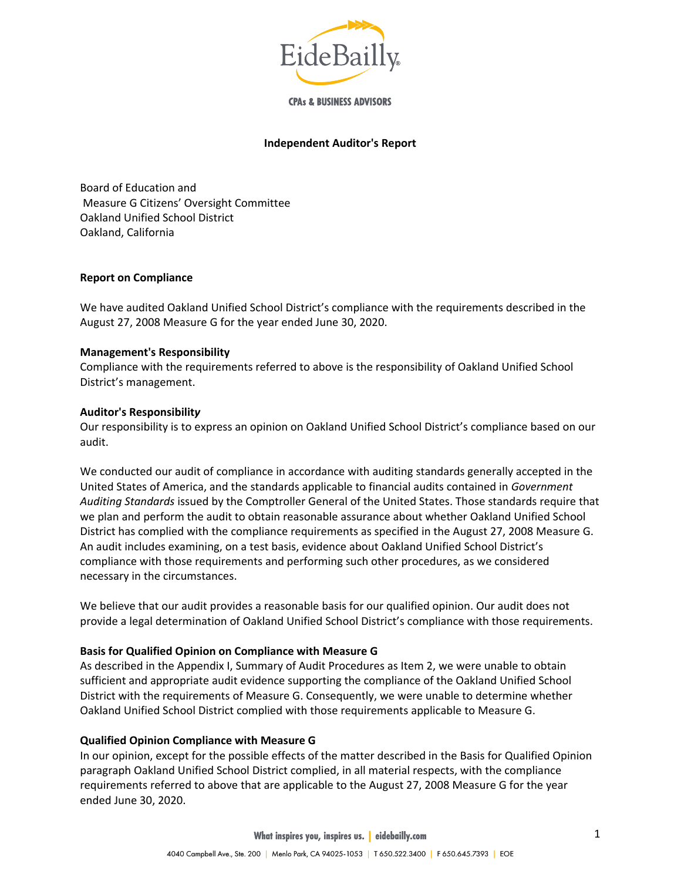

**CPAs & BUSINESS ADVISORS** 

#### **Independent Auditor's Report**

Board of Education and Measure G Citizens' Oversight Committee Oakland Unified School District Oakland, California

#### **Report on Compliance**

We have audited Oakland Unified School District's compliance with the requirements described in the August 27, 2008 Measure G for the year ended June 30, 2020.

#### **Management's Responsibility**

Compliance with the requirements referred to above is the responsibility of Oakland Unified School District's management.

#### **Auditor's Responsibilit***y*

Our responsibility is to express an opinion on Oakland Unified School District's compliance based on our audit.

We conducted our audit of compliance in accordance with auditing standards generally accepted in the United States of America, and the standards applicable to financial audits contained in *Government Auditing Standards* issued by the Comptroller General of the United States. Those standards require that we plan and perform the audit to obtain reasonable assurance about whether Oakland Unified School District has complied with the compliance requirements as specified in the August 27, 2008 Measure G. An audit includes examining, on a test basis, evidence about Oakland Unified School District's compliance with those requirements and performing such other procedures, as we considered necessary in the circumstances.

We believe that our audit provides a reasonable basis for our qualified opinion. Our audit does not provide a legal determination of Oakland Unified School District's compliance with those requirements.

## **Basis for Qualified Opinion on Compliance with Measure G**

As described in the Appendix I, Summary of Audit Procedures as Item 2, we were unable to obtain sufficient and appropriate audit evidence supporting the compliance of the Oakland Unified School District with the requirements of Measure G. Consequently, we were unable to determine whether Oakland Unified School District complied with those requirements applicable to Measure G.

#### **Qualified Opinion Compliance with Measure G**

In our opinion, except for the possible effects of the matter described in the Basis for Qualified Opinion paragraph Oakland Unified School District complied, in all material respects, with the compliance requirements referred to above that are applicable to the August 27, 2008 Measure G for the year ended June 30, 2020.

**What inspires you, inspires us. | eidebailly.com**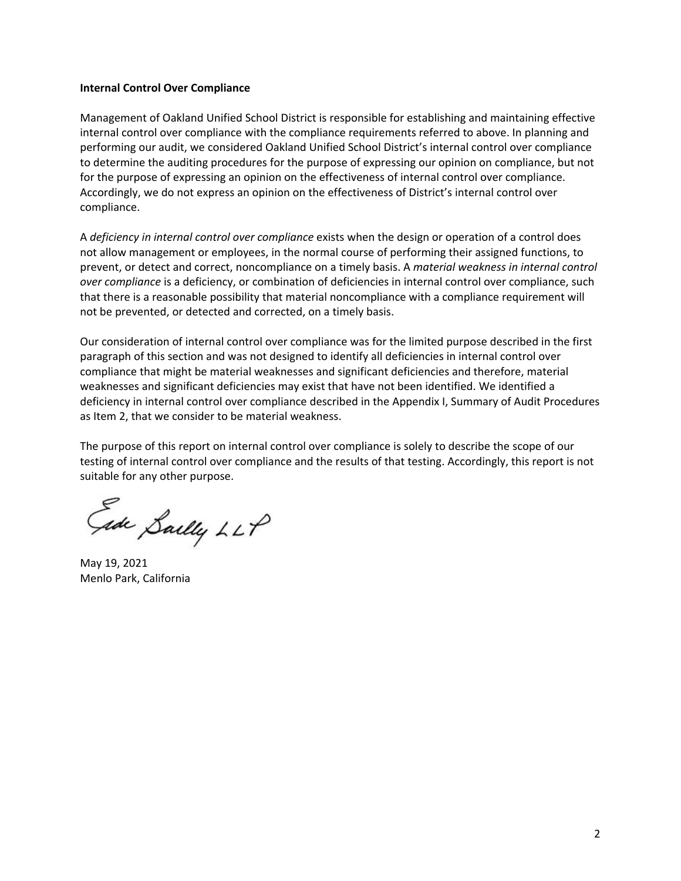#### **Internal Control Over Compliance**

Management of Oakland Unified School District is responsible for establishing and maintaining effective internal control over compliance with the compliance requirements referred to above. In planning and performing our audit, we considered Oakland Unified School District's internal control over compliance to determine the auditing procedures for the purpose of expressing our opinion on compliance, but not for the purpose of expressing an opinion on the effectiveness of internal control over compliance. Accordingly, we do not express an opinion on the effectiveness of District's internal control over compliance.

A *deficiency in internal control over compliance* exists when the design or operation of a control does not allow management or employees, in the normal course of performing their assigned functions, to prevent, or detect and correct, noncompliance on a timely basis. A *material weakness in internal control over compliance* is a deficiency, or combination of deficiencies in internal control over compliance, such that there is a reasonable possibility that material noncompliance with a compliance requirement will not be prevented, or detected and corrected, on a timely basis.

Our consideration of internal control over compliance was for the limited purpose described in the first paragraph of this section and was not designed to identify all deficiencies in internal control over compliance that might be material weaknesses and significant deficiencies and therefore, material weaknesses and significant deficiencies may exist that have not been identified. We identified a deficiency in internal control over compliance described in the Appendix I, Summary of Audit Procedures as Item 2, that we consider to be material weakness.

The purpose of this report on internal control over compliance is solely to describe the scope of our testing of internal control over compliance and the results of that testing. Accordingly, this report is not suitable for any other purpose.

Gide Sailly LLP

May 19, 2021 Menlo Park, California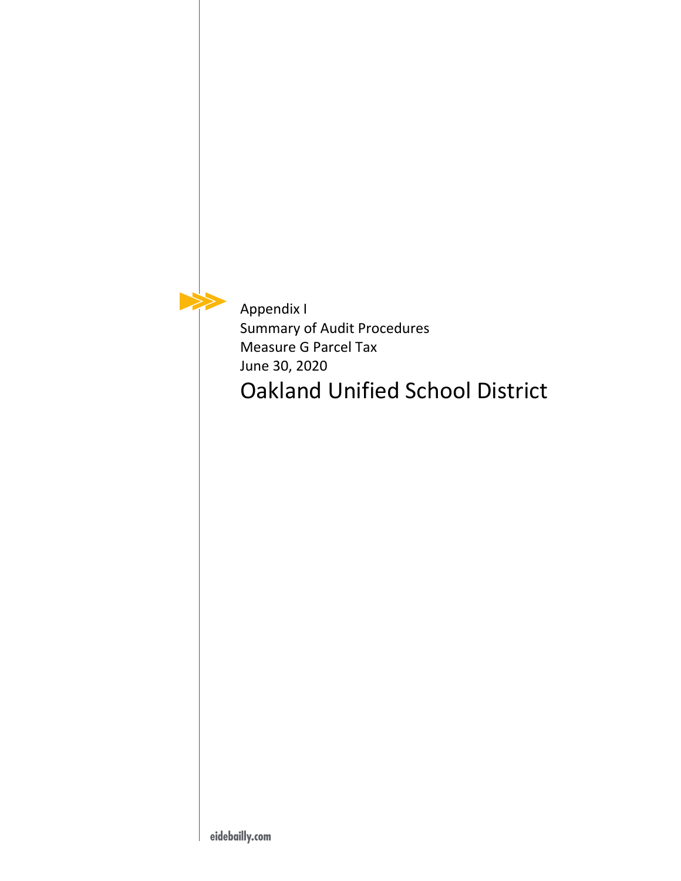Appendix I Summary of Audit Procedures Measure G Parcel Tax June 30, 2020 Oakland Unified School District

 $\blacktriangleright$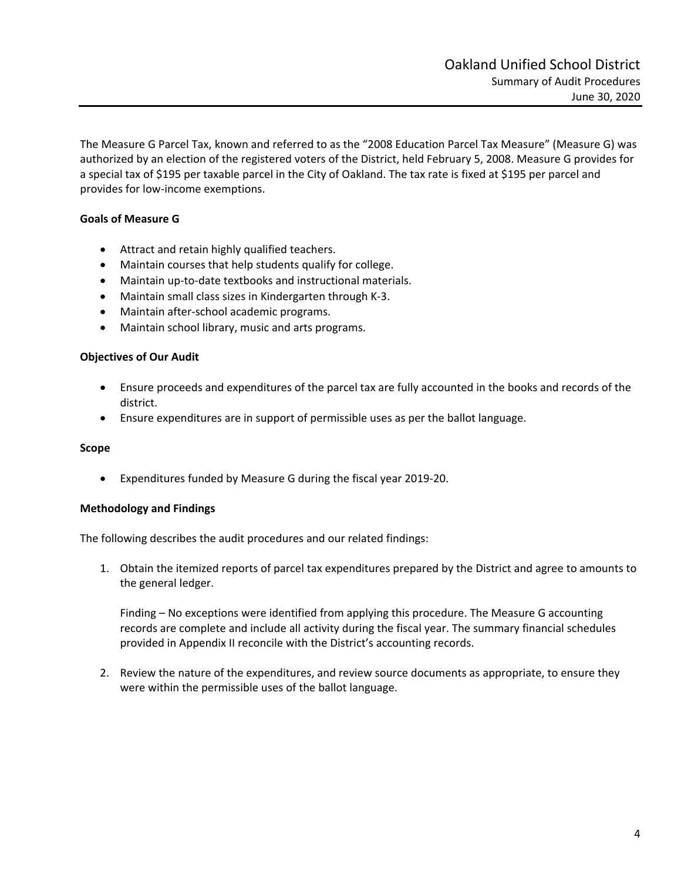The Measure G Parcel Tax, known and referred to as the "2008 Education Parcel Tax Measure" (Measure G) was authorized by an election of the registered voters of the District, held February 5, 2008. Measure G provides for a special tax of \$195 per taxable parcel in the City of Oakland. The tax rate is fixed at \$195 per parcel and provides for low‐income exemptions.

# **Goals of Measure G**

- Attract and retain highly qualified teachers.
- Maintain courses that help students qualify for college.
- Maintain up-to-date textbooks and instructional materials.
- Maintain small class sizes in Kindergarten through K-3.
- Maintain after-school academic programs.
- Maintain school library, music and arts programs.

#### **Objectives of Our Audit**

- Ensure proceeds and expenditures of the parcel tax are fully accounted in the books and records of the district.
- Ensure expenditures are in support of permissible uses as per the ballot language.

#### **Scope**

Expenditures funded by Measure G during the fiscal year 2019‐20.

## **Methodology and Findings**

The following describes the audit procedures and our related findings:

1. Obtain the itemized reports of parcel tax expenditures prepared by the District and agree to amounts to the general ledger.

Finding – No exceptions were identified from applying this procedure. The Measure G accounting records are complete and include all activity during the fiscal year. The summary financial schedules provided in Appendix II reconcile with the District's accounting records.

2. Review the nature of the expenditures, and review source documents as appropriate, to ensure they were within the permissible uses of the ballot language.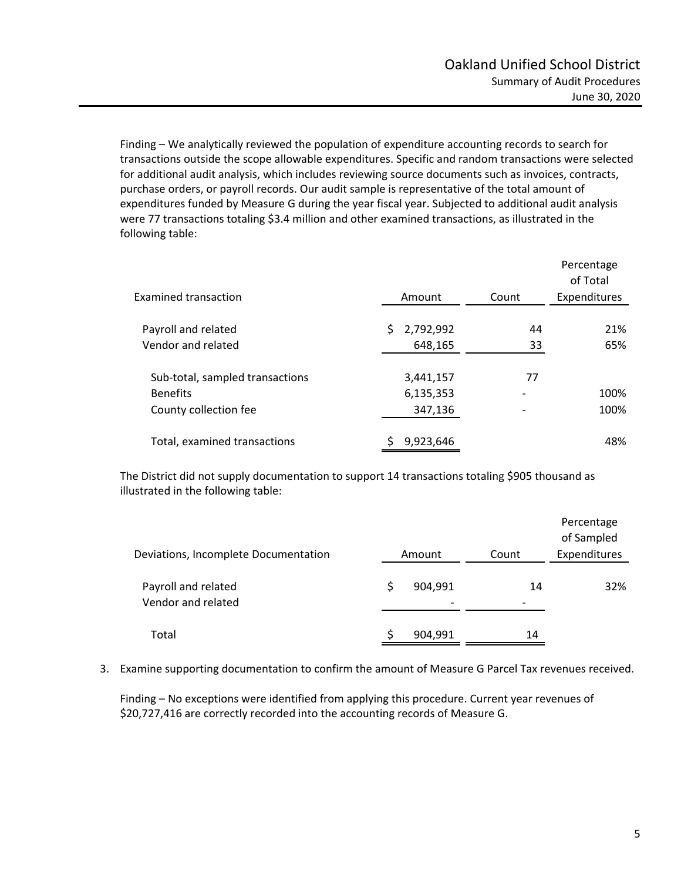Finding – We analytically reviewed the population of expenditure accounting records to search for transactions outside the scope allowable expenditures. Specific and random transactions were selected for additional audit analysis, which includes reviewing source documents such as invoices, contracts, purchase orders, or payroll records. Our audit sample is representative of the total amount of expenditures funded by Measure G during the year fiscal year. Subjected to additional audit analysis were 77 transactions totaling \$3.4 million and other examined transactions, as illustrated in the following table:

| <b>Examined transaction</b>     | Amount          | Count | Percentage<br>of Total<br>Expenditures |
|---------------------------------|-----------------|-------|----------------------------------------|
|                                 |                 |       |                                        |
| Payroll and related             | 2,792,992<br>S. | 44    | 21%                                    |
| Vendor and related              | 648,165         | 33    | 65%                                    |
|                                 |                 |       |                                        |
| Sub-total, sampled transactions | 3,441,157       | 77    |                                        |
| <b>Benefits</b>                 | 6,135,353       |       | 100%                                   |
| County collection fee           | 347,136         |       | 100%                                   |
|                                 |                 |       |                                        |
| Total, examined transactions    | 9,923,646       |       | 48%                                    |

The District did not supply documentation to support 14 transactions totaling \$905 thousand as illustrated in the following table:

| Deviations, Incomplete Documentation      | Amount                              | Count | Percentage<br>of Sampled<br>Expenditures |
|-------------------------------------------|-------------------------------------|-------|------------------------------------------|
| Payroll and related<br>Vendor and related | 904,991<br>$\overline{\phantom{a}}$ | 14    | 32%                                      |
| Total                                     | 904,991                             | 14    |                                          |

3. Examine supporting documentation to confirm the amount of Measure G Parcel Tax revenues received.

Finding – No exceptions were identified from applying this procedure. Current year revenues of \$20,727,416 are correctly recorded into the accounting records of Measure G.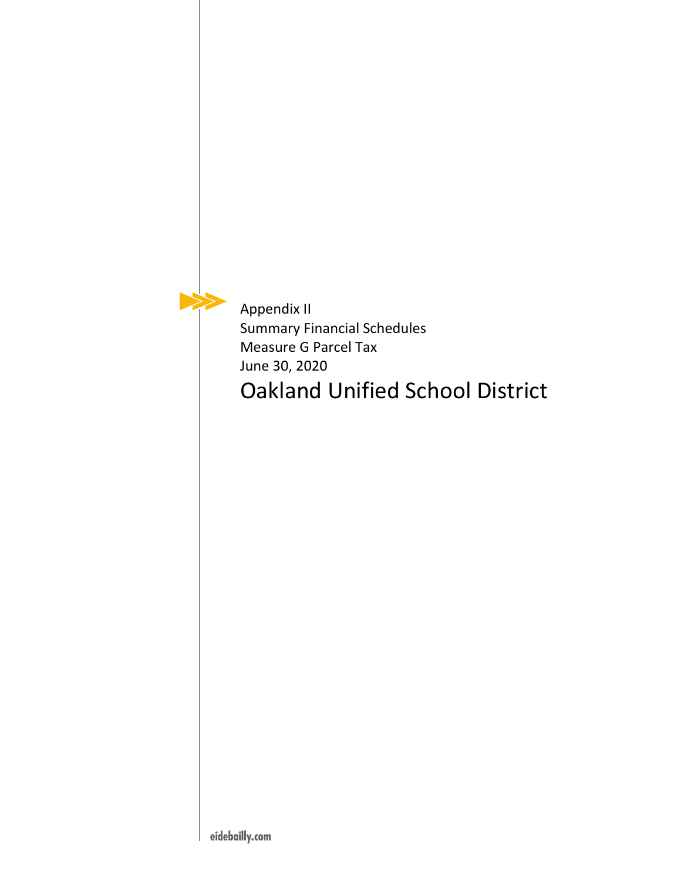Appendix II Summary Financial Schedules Measure G Parcel Tax June 30, 2020 Oakland Unified School District

 $\blacktriangleright$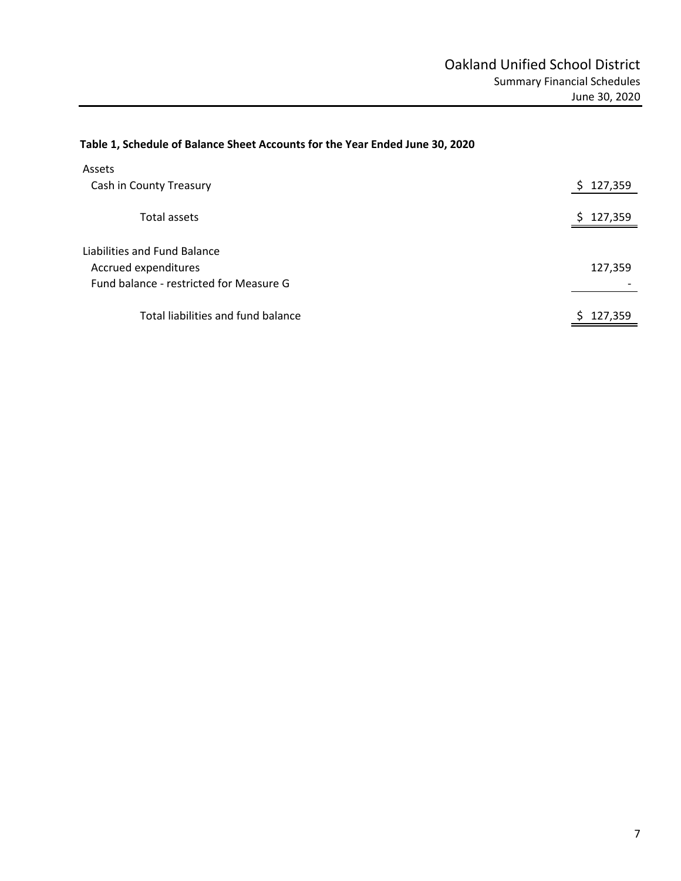# **Table 1, Schedule of Balance Sheet Accounts for the Year Ended June 30, 2020**

| Assets                                                                                          |               |
|-------------------------------------------------------------------------------------------------|---------------|
| Cash in County Treasury                                                                         | 127,359<br>S. |
| Total assets                                                                                    | 127,359<br>S. |
| Liabilities and Fund Balance<br>Accrued expenditures<br>Fund balance - restricted for Measure G | 127,359       |
| Total liabilities and fund balance                                                              | 127,359       |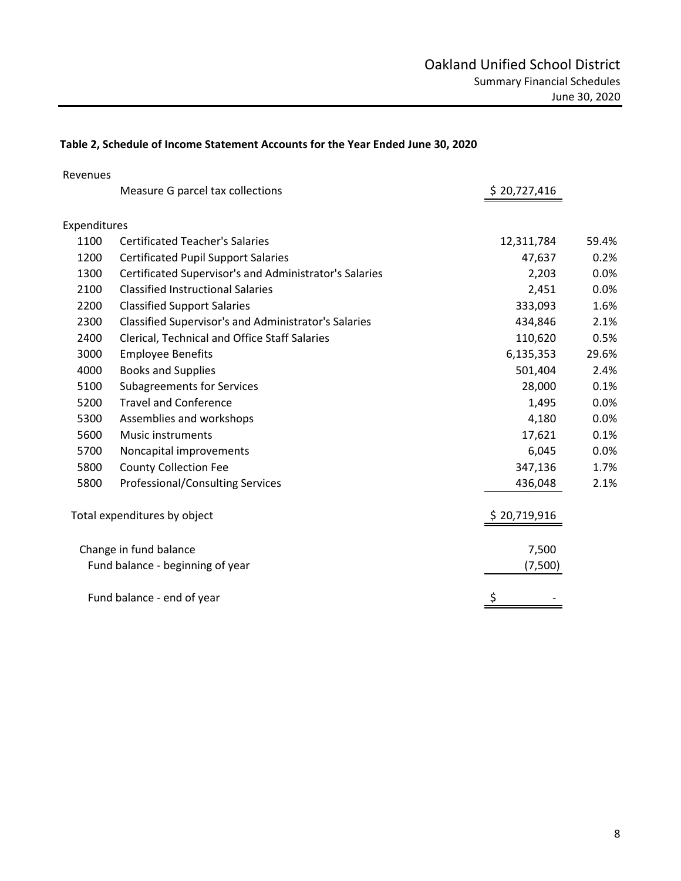# **Table 2, Schedule of Income Statement Accounts for the Year Ended June 30, 2020**

| Revenues     |                                                        |              |       |
|--------------|--------------------------------------------------------|--------------|-------|
|              | Measure G parcel tax collections                       | \$20,727,416 |       |
| Expenditures |                                                        |              |       |
| 1100         | <b>Certificated Teacher's Salaries</b>                 | 12,311,784   | 59.4% |
| 1200         | <b>Certificated Pupil Support Salaries</b>             | 47,637       | 0.2%  |
| 1300         | Certificated Supervisor's and Administrator's Salaries | 2,203        | 0.0%  |
| 2100         | <b>Classified Instructional Salaries</b>               | 2,451        | 0.0%  |
| 2200         | <b>Classified Support Salaries</b>                     | 333,093      | 1.6%  |
| 2300         | Classified Supervisor's and Administrator's Salaries   | 434,846      | 2.1%  |
| 2400         | Clerical, Technical and Office Staff Salaries          | 110,620      | 0.5%  |
| 3000         | <b>Employee Benefits</b>                               | 6,135,353    | 29.6% |
| 4000         | <b>Books and Supplies</b>                              | 501,404      | 2.4%  |
| 5100         | <b>Subagreements for Services</b>                      | 28,000       | 0.1%  |
| 5200         | <b>Travel and Conference</b>                           | 1,495        | 0.0%  |
| 5300         | Assemblies and workshops                               | 4,180        | 0.0%  |
| 5600         | Music instruments                                      | 17,621       | 0.1%  |
| 5700         | Noncapital improvements                                | 6,045        | 0.0%  |
| 5800         | <b>County Collection Fee</b>                           | 347,136      | 1.7%  |
| 5800         | <b>Professional/Consulting Services</b>                | 436,048      | 2.1%  |
|              | Total expenditures by object                           | \$20,719,916 |       |
|              | Change in fund balance                                 | 7,500        |       |
|              | Fund balance - beginning of year                       | (7,500)      |       |
|              | Fund balance - end of year                             | \$           |       |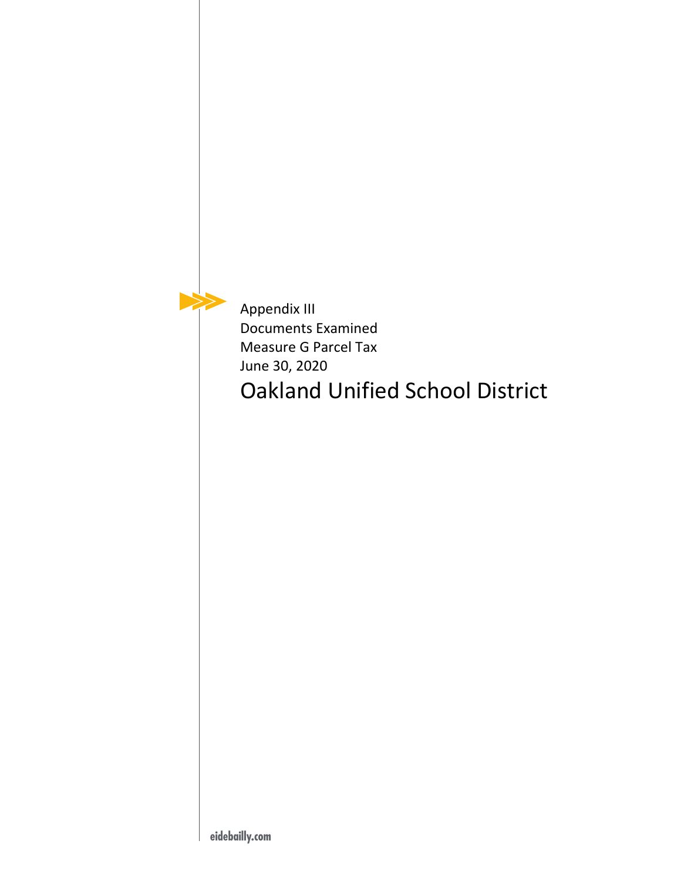Appendix III Documents Examined Measure G Parcel Tax June 30, 2020 Oakland Unified School District

 $\blacktriangleright$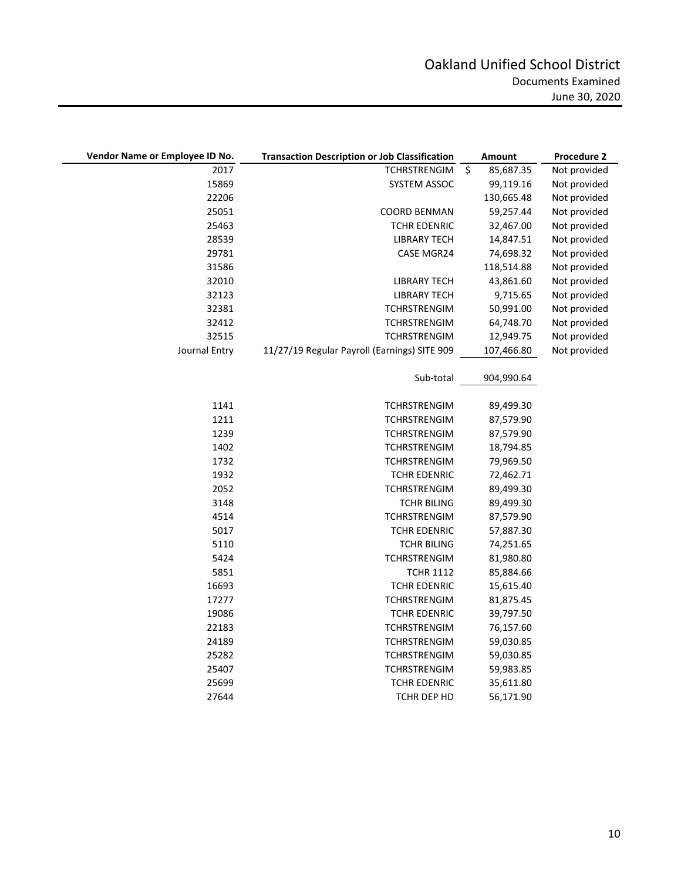| Vendor Name or Employee ID No. | <b>Transaction Description or Job Classification</b> | Amount               | Procedure 2  |
|--------------------------------|------------------------------------------------------|----------------------|--------------|
| 2017                           | <b>TCHRSTRENGIM</b>                                  | $\zeta$<br>85,687.35 | Not provided |
| 15869                          | SYSTEM ASSOC                                         | 99,119.16            | Not provided |
| 22206                          |                                                      | 130,665.48           | Not provided |
| 25051                          | <b>COORD BENMAN</b>                                  | 59,257.44            | Not provided |
| 25463                          | TCHR EDENRIC                                         | 32,467.00            | Not provided |
| 28539                          | <b>LIBRARY TECH</b>                                  | 14,847.51            | Not provided |
| 29781                          | CASE MGR24                                           | 74,698.32            | Not provided |
| 31586                          |                                                      | 118,514.88           | Not provided |
| 32010                          | LIBRARY TECH                                         | 43,861.60            | Not provided |
| 32123                          | LIBRARY TECH                                         | 9,715.65             | Not provided |
| 32381                          | <b>TCHRSTRENGIM</b>                                  | 50,991.00            | Not provided |
| 32412                          | <b>TCHRSTRENGIM</b>                                  | 64,748.70            | Not provided |
| 32515                          | <b>TCHRSTRENGIM</b>                                  | 12,949.75            | Not provided |
| Journal Entry                  | 11/27/19 Regular Payroll (Earnings) SITE 909         | 107,466.80           | Not provided |
|                                |                                                      |                      |              |
|                                | Sub-total                                            | 904,990.64           |              |
|                                |                                                      |                      |              |
| 1141                           | <b>TCHRSTRENGIM</b>                                  | 89,499.30            |              |
| 1211                           | <b>TCHRSTRENGIM</b>                                  | 87,579.90            |              |
| 1239                           | <b>TCHRSTRENGIM</b>                                  | 87,579.90            |              |
| 1402                           | <b>TCHRSTRENGIM</b>                                  | 18,794.85            |              |
| 1732                           | TCHRSTRENGIM                                         | 79,969.50            |              |
| 1932                           | <b>TCHR EDENRIC</b>                                  | 72,462.71            |              |
| 2052                           | <b>TCHRSTRENGIM</b>                                  | 89,499.30            |              |
| 3148                           | <b>TCHR BILING</b>                                   | 89,499.30            |              |
| 4514                           | <b>TCHRSTRENGIM</b>                                  | 87,579.90            |              |
| 5017                           | <b>TCHR EDENRIC</b>                                  | 57,887.30            |              |
| 5110                           | <b>TCHR BILING</b>                                   | 74,251.65            |              |
| 5424                           | <b>TCHRSTRENGIM</b>                                  | 81,980.80            |              |
| 5851                           | <b>TCHR 1112</b>                                     | 85,884.66            |              |
| 16693                          | <b>TCHR EDENRIC</b>                                  | 15,615.40            |              |
| 17277                          | <b>TCHRSTRENGIM</b>                                  | 81,875.45            |              |
| 19086                          | <b>TCHR EDENRIC</b>                                  | 39,797.50            |              |
| 22183                          | <b>TCHRSTRENGIM</b>                                  | 76,157.60            |              |
| 24189                          | TCHRSTRENGIM                                         | 59,030.85            |              |
| 25282                          | <b>TCHRSTRENGIM</b>                                  | 59,030.85            |              |
| 25407                          | <b>TCHRSTRENGIM</b>                                  | 59,983.85            |              |
| 25699                          | <b>TCHR EDENRIC</b>                                  | 35,611.80            |              |
| 27644                          | TCHR DEP HD                                          | 56,171.90            |              |